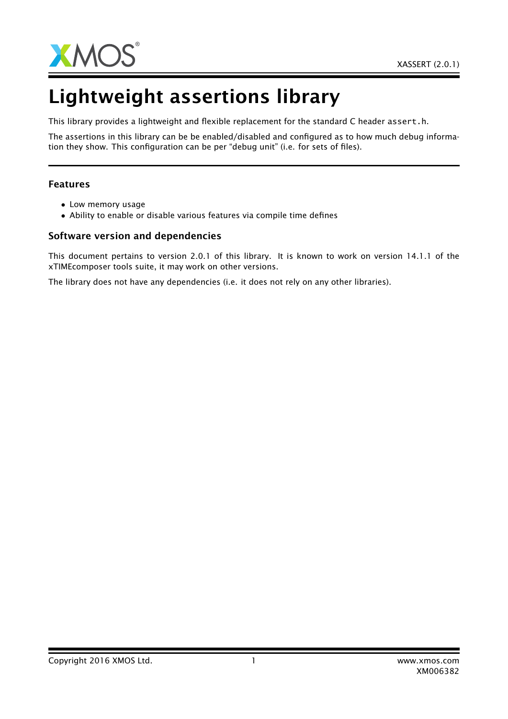

# Lightweight assertions library

This library provides a lightweight and flexible replacement for the standard C header assert.h.

The assertions in this library can be be enabled/disabled and configured as to how much debug information they show. This configuration can be per "debug unit" (i.e. for sets of files).

#### Features

- Low memory usage
- Ability to enable or disable various features via compile time defines

#### Software version and dependencies

This document pertains to version 2.0.1 of this library. It is known to work on version 14.1.1 of the xTIMEcomposer tools suite, it may work on other versions.

The library does not have any dependencies (i.e. it does not rely on any other libraries).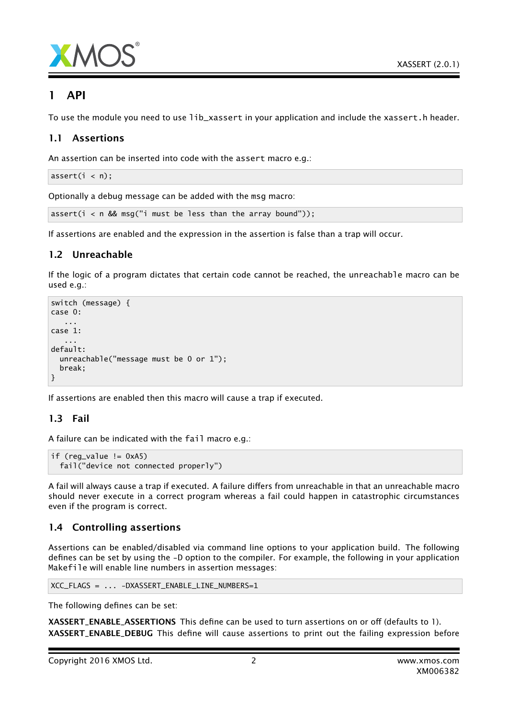



### 1 API

To use the module you need to use lib\_xassert in your application and include the xassert.h header.

#### 1.1 Assertions

An assertion can be inserted into code with the assert macro e.g.:

 $assert(i < n);$ 

Optionally a debug message can be added with the msg macro:

assert( $i < n$  && msg(" $i$  must be less than the array bound"));

If assertions are enabled and the expression in the assertion is false than a trap will occur.

#### 1.2 Unreachable

If the logic of a program dictates that certain code cannot be reached, the unreachable macro can be used e.g.:

```
switch (message) {
case 0:
   ...
case 1:
   ...
default:
  unreachable("message must be 0 or 1");
  break;
}
```
If assertions are enabled then this macro will cause a trap if executed.

#### 1.3 Fail

A failure can be indicated with the fail macro e.g.:

```
if (\text{reg_value} != 0xA5)fail("device not connected properly")
```
A fail will always cause a trap if executed. A failure differs from unreachable in that an unreachable macro should never execute in a correct program whereas a fail could happen in catastrophic circumstances even if the program is correct.

#### 1.4 Controlling assertions

Assertions can be enabled/disabled via command line options to your application build. The following defines can be set by using the -D option to the compiler. For example, the following in your application Makefile will enable line numbers in assertion messages:

```
XCC_FLAGS = ... -DXASSERT_ENABLE_LINE_NUMBERS=1
```
The following defines can be set:

XASSERT\_ENABLE\_ASSERTIONS This define can be used to turn assertions on or off (defaults to 1). XASSERT\_ENABLE\_DEBUG This define will cause assertions to print out the failing expression before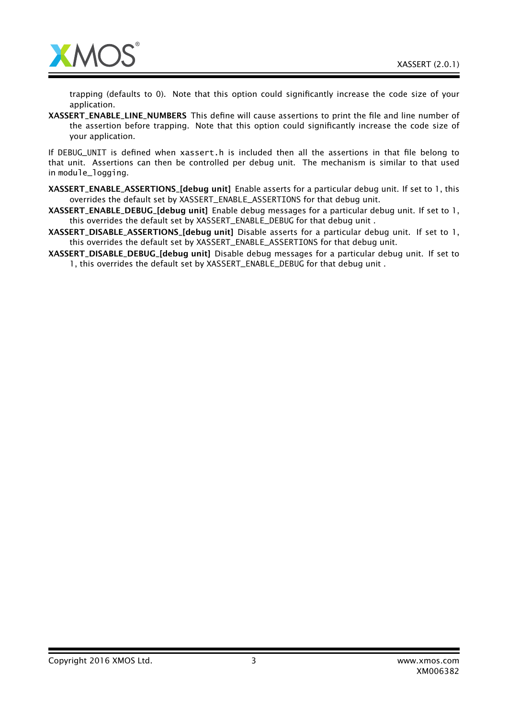

trapping (defaults to 0). Note that this option could significantly increase the code size of your application.

XASSERT\_ENABLE\_LINE\_NUMBERS This define will cause assertions to print the file and line number of the assertion before trapping. Note that this option could significantly increase the code size of your application.

If DEBUG\_UNIT is defined when xassert.h is included then all the assertions in that file belong to that unit. Assertions can then be controlled per debug unit. The mechanism is similar to that used in module\_logging.

- XASSERT\_ENABLE\_ASSERTIONS\_[debug unit] Enable asserts for a particular debug unit. If set to 1, this overrides the default set by XASSERT\_ENABLE\_ASSERTIONS for that debug unit.
- XASSERT\_ENABLE\_DEBUG\_[debug unit] Enable debug messages for a particular debug unit. If set to 1, this overrides the default set by XASSERT\_ENABLE\_DEBUG for that debug unit .
- XASSERT\_DISABLE\_ASSERTIONS\_[debug unit] Disable asserts for a particular debug unit. If set to 1, this overrides the default set by XASSERT\_ENABLE\_ASSERTIONS for that debug unit.
- XASSERT\_DISABLE\_DEBUG\_[debug unit] Disable debug messages for a particular debug unit. If set to 1, this overrides the default set by XASSERT\_ENABLE\_DEBUG for that debug unit .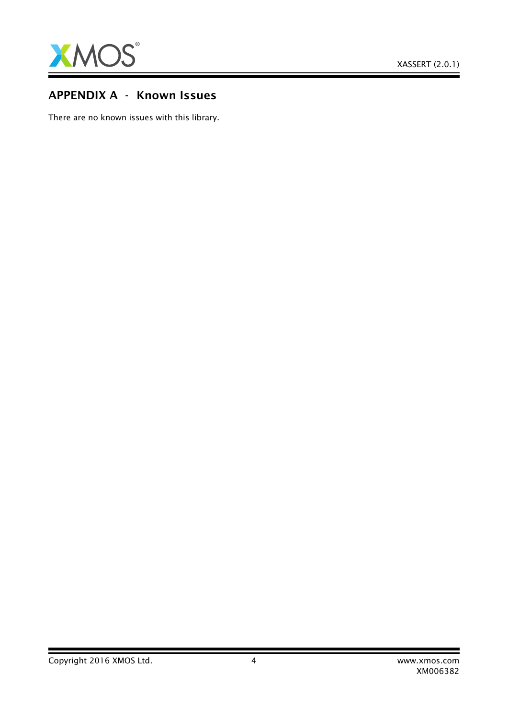

## APPENDIX A - Known Issues

There are no known issues with this library.